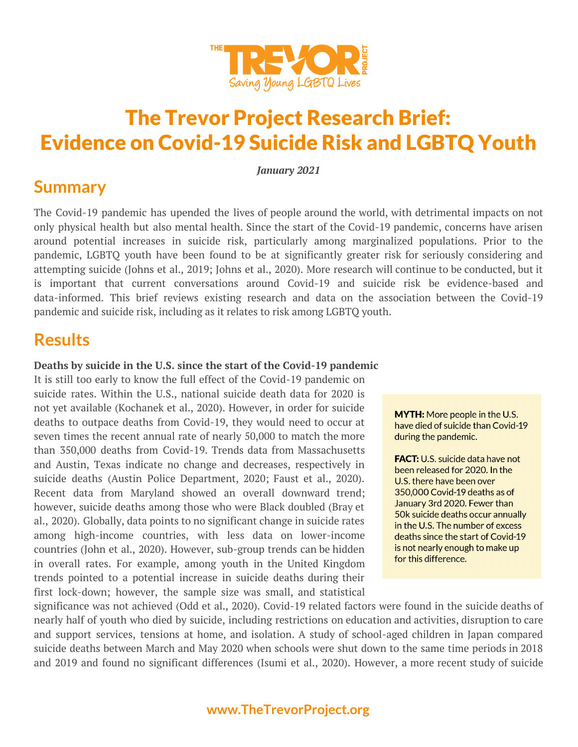

# The Trevor Project Research Brief: Evidence on Covid-19 Suicide Risk and LGBTQ Youth

*January 2021*

### **Summary**

The Covid-19 pandemic has upended the lives of people around the world, with detrimental impacts on not only physical health but also mental health. Since the start of the Covid-19 pandemic, concerns have arisen around potential increases in suicide risk, particularly among marginalized populations. Prior to the pandemic, LGBTQ youth have been found to be at significantly greater risk for seriously considering and attempting suicide (Johns et al., 2019; Johns et al., 2020). More research will continue to be conducted, but it is important that current conversations around Covid-19 and suicide risk be evidence-based and data-informed. This brief reviews existing research and data on the association between the Covid-19 pandemic and suicide risk, including as it relates to risk among LGBTQ youth.

### **Results**

#### **Deaths by suicide in the U.S. since the start of the Covid-19 pandemic**

It is still too early to know the full effect of the Covid-19 pandemic on suicide rates. Within the U.S., national suicide death data for 2020 is not yet available (Kochanek et al., 2020). However, in order for suicide deaths to outpace deaths from Covid-19, they would need to occur at seven times the recent annual rate of nearly 50,000 to match the more than 350,000 deaths from Covid-19. Trends data from Massachusetts and Austin, Texas indicate no change and decreases, respectively in suicide deaths (Austin Police Department, 2020; Faust et al., 2020). Recent data from Maryland showed an overall downward trend; however, suicide deaths among those who were Black doubled (Bray et al., 2020). Globally, data points to no significant change in suicide rates among high-income countries, with less data on lower-income countries (John et al., 2020). However, sub-group trends can be hidden in overall rates. For example, among youth in the United Kingdom trends pointed to a potential increase in suicide deaths during their first lock-down; however, the sample size was small, and statistical

**MYTH:** More people in the U.S. have died of suicide than Covid-19 during the pandemic.

**FACT:** U.S. suicide data have not been released for 2020. In the U.S. there have been over 350,000 Covid-19 deaths as of January 3rd 2020. Fewer than 50k suicide deaths occur annually in the U.S. The number of excess deaths since the start of Covid-19 is not nearly enough to make up for this difference.

significance was not achieved (Odd et al., 2020). Covid-19 related factors were found in the suicide deaths of nearly half of youth who died by suicide, including restrictions on education and activities, disruption to care and support services, tensions at home, and isolation. A study of school-aged children in Japan compared suicide deaths between March and May 2020 when schools were shut down to the same time periods in 2018 and 2019 and found no significant differences (Isumi et al., 2020). However, a more recent study of suicide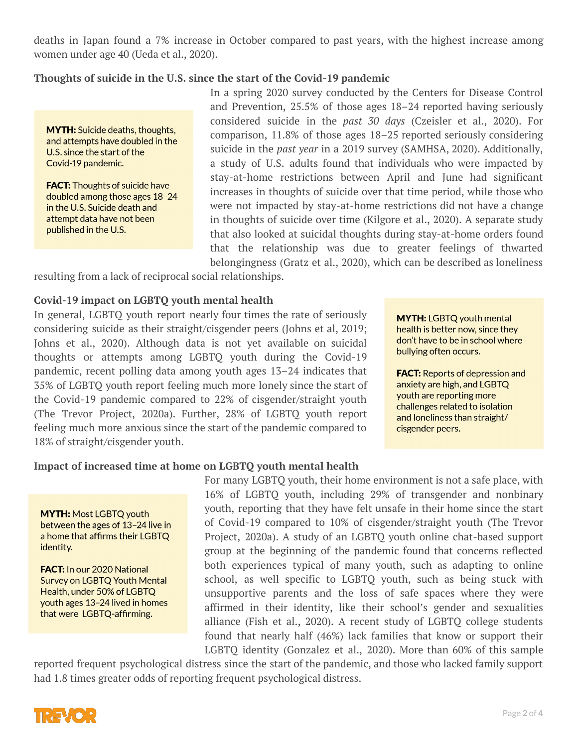deaths in Japan found a 7% increase in October compared to past years, with the highest increase among women under age 40 (Ueda et al., 2020).

#### **Thoughts of suicide in the U.S. since the start of the Covid-19 pandemic**

**MYTH:** Suicide deaths, thoughts, and attempts have doubled in the U.S. since the start of the Covid-19 pandemic.

**FACT:** Thoughts of suicide have doubled among those ages 18-24 in the U.S. Suicide death and attempt data have not been published in the U.S.

In a spring 2020 survey conducted by the Centers for Disease Control and Prevention, 25.5% of those ages 18–24 reported having seriously considered suicide in the *past 30 days* (Czeisler et al., 2020). For comparison, 11.8% of those ages 18–25 reported seriously considering suicide in the *past year* in a 2019 survey (SAMHSA, 2020). Additionally, a study of U.S. adults found that individuals who were impacted by stay-at-home restrictions between April and June had significant increases in thoughts of suicide over that time period, while those who were not impacted by stay-at-home restrictions did not have a change in thoughts of suicide over time (Kilgore et al., 2020). A separate study that also looked at suicidal thoughts during stay-at-home orders found that the relationship was due to greater feelings of thwarted belongingness (Gratz et al., 2020), which can be described as loneliness

resulting from a lack of reciprocal social relationships.

#### **Covid-19 impact on LGBTQ youth mental health**

In general, LGBTQ youth report nearly four times the rate of seriously considering suicide as their straight/cisgender peers (Johns et al, 2019; Johns et al., 2020). Although data is not yet available on suicidal thoughts or attempts among LGBTQ youth during the Covid-19 pandemic, recent polling data among youth ages 13–24 indicates that 35% of LGBTQ youth report feeling much more lonely since the start of the Covid-19 pandemic compared to 22% of cisgender/straight youth (The Trevor Project, 2020a). Further, 28% of LGBTQ youth report feeling much more anxious since the start of the pandemic compared to 18% of straight/cisgender youth.

**MYTH: LGBTQ youth mental** health is better now, since they don't have to be in school where bullying often occurs.

**FACT:** Reports of depression and anxiety are high, and LGBTQ youth are reporting more challenges related to isolation and loneliness than straight/ cisgender peers.

#### **Impact of increased time at home on LGBTQ youth mental health**

**MYTH: Most LGBTQ youth** between the ages of 13-24 live in a home that affirms their LGBTQ identity.

**FACT:** In our 2020 National Survey on LGBTQ Youth Mental Health, under 50% of LGBTQ youth ages 13-24 lived in homes that were LGBTQ-affirming.

For many LGBTQ youth, their home environment is not a safe place, with 16% of LGBTQ youth, including 29% of transgender and nonbinary youth, reporting that they have felt unsafe in their home since the start of Covid-19 compared to 10% of cisgender/straight youth (The Trevor Project, 2020a). A study of an LGBTQ youth online chat-based support group at the beginning of the pandemic found that concerns reflected both experiences typical of many youth, such as adapting to online school, as well specific to LGBTQ youth, such as being stuck with unsupportive parents and the loss of safe spaces where they were affirmed in their identity, like their school's gender and sexualities alliance (Fish et al., 2020). A recent study of LGBTQ college students found that nearly half (46%) lack families that know or support their LGBTQ identity (Gonzalez et al., 2020). More than 60% of this sample

reported frequent psychological distress since the start of the pandemic, and those who lacked family support had 1.8 times greater odds of reporting frequent psychological distress.

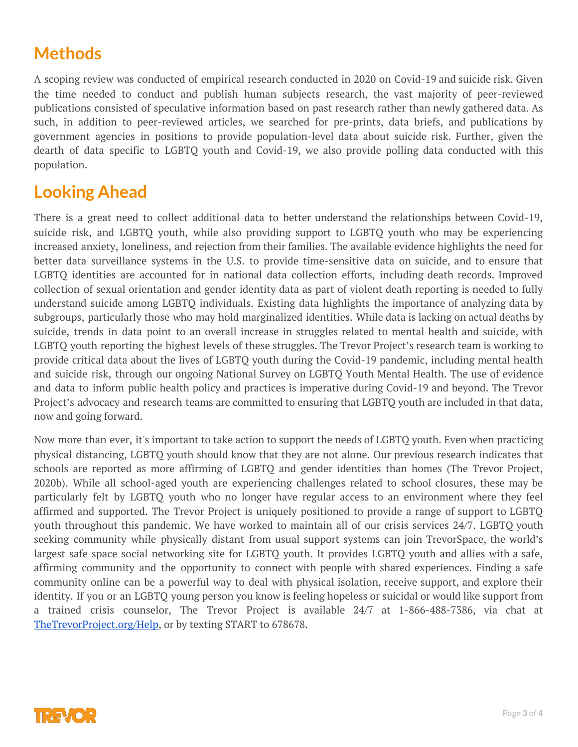## **Methods**

A scoping review was conducted of empirical research conducted in 2020 on Covid-19 and suicide risk. Given the time needed to conduct and publish human subjects research, the vast majority of peer-reviewed publications consisted of speculative information based on past research rather than newly gathered data. As such, in addition to peer-reviewed articles, we searched for pre-prints, data briefs, and publications by government agencies in positions to provide population-level data about suicide risk. Further, given the dearth of data specific to LGBTQ youth and Covid-19, we also provide polling data conducted with this population.

# **Looking Ahead**

There is a great need to collect additional data to better understand the relationships between Covid-19, suicide risk, and LGBTQ youth, while also providing support to LGBTQ youth who may be experiencing increased anxiety, loneliness, and rejection from their families. The available evidence highlights the need for better data surveillance systems in the U.S. to provide time-sensitive data on suicide, and to ensure that LGBTQ identities are accounted for in national data collection efforts, including death records. Improved collection of sexual orientation and gender identity data as part of violent death reporting is needed to fully understand suicide among LGBTQ individuals. Existing data highlights the importance of analyzing data by subgroups, particularly those who may hold marginalized identities. While data is lacking on actual deaths by suicide, trends in data point to an overall increase in struggles related to mental health and suicide, with LGBTQ youth reporting the highest levels of these struggles. The Trevor Project's research team is working to provide critical data about the lives of LGBTQ youth during the Covid-19 pandemic, including mental health and suicide risk, through our ongoing National Survey on LGBTQ Youth Mental Health. The use of evidence and data to inform public health policy and practices is imperative during Covid-19 and beyond. The Trevor Project's advocacy and research teams are committed to ensuring that LGBTQ youth are included in that data, now and going forward.

Now more than ever, it's important to take action to support the needs of LGBTQ youth. Even when practicing physical distancing, LGBTQ youth should know that they are not alone. Our previous research indicates that schools are reported as more affirming of LGBTQ and gender identities than homes (The Trevor Project, 2020b). While all school-aged youth are experiencing challenges related to school closures, these may be particularly felt by LGBTQ youth who no longer have regular access to an environment where they feel affirmed and supported. The Trevor Project is uniquely positioned to provide a range of support to LGBTQ youth throughout this pandemic. We have worked to maintain all of our crisis services 24/7. LGBTQ youth seeking community while physically distant from usual support systems can join TrevorSpace, the world's largest safe space social networking site for LGBTQ youth. It provides LGBTQ youth and allies with a safe, affirming community and the opportunity to connect with people with shared experiences. Finding a safe community online can be a powerful way to deal with physical isolation, receive support, and explore their identity. If you or an LGBTQ young person you know is feeling hopeless or suicidal or would like support from a trained crisis counselor, The Trevor Project is available 24/7 at 1-866-488-7386, via chat at [TheTrevorProject.org/Help,](http://thetrevorproject.org/Help) or by texting START to 678678.